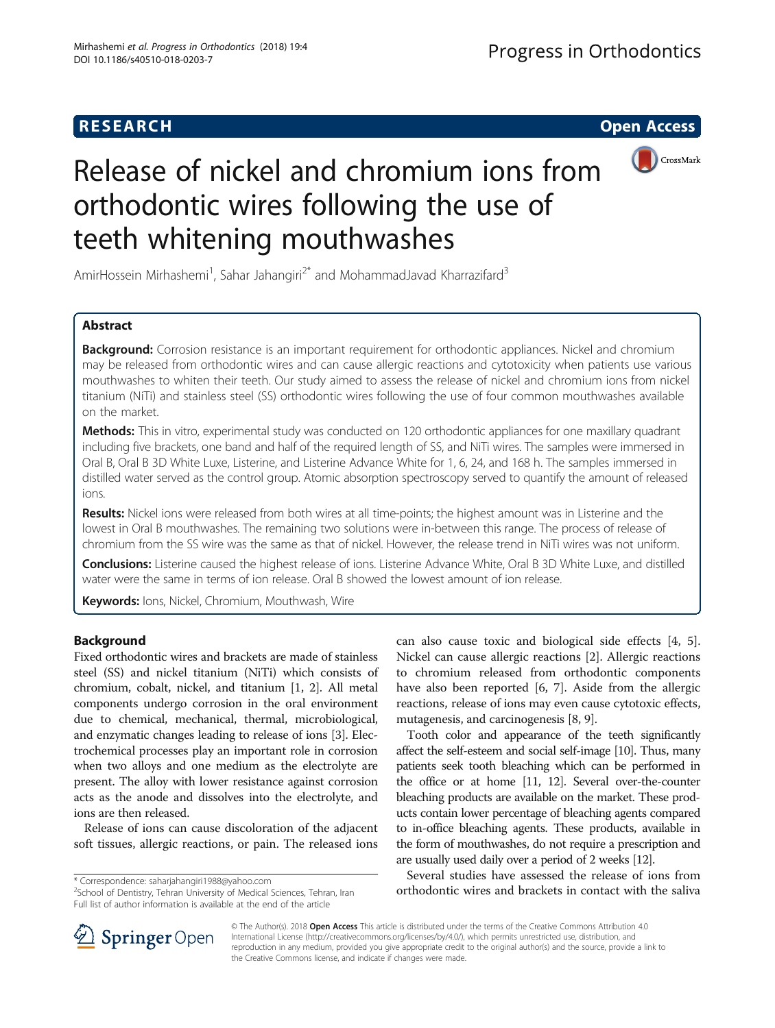

# Release of nickel and chromium ions from orthodontic wires following the use of teeth whitening mouthwashes

AmirHossein Mirhashemi<sup>1</sup>, Sahar Jahangiri<sup>2\*</sup> and MohammadJavad Kharrazifard<sup>3</sup>

# Abstract

Background: Corrosion resistance is an important requirement for orthodontic appliances. Nickel and chromium may be released from orthodontic wires and can cause allergic reactions and cytotoxicity when patients use various mouthwashes to whiten their teeth. Our study aimed to assess the release of nickel and chromium ions from nickel titanium (NiTi) and stainless steel (SS) orthodontic wires following the use of four common mouthwashes available on the market.

Methods: This in vitro, experimental study was conducted on 120 orthodontic appliances for one maxillary quadrant including five brackets, one band and half of the required length of SS, and NiTi wires. The samples were immersed in Oral B, Oral B 3D White Luxe, Listerine, and Listerine Advance White for 1, 6, 24, and 168 h. The samples immersed in distilled water served as the control group. Atomic absorption spectroscopy served to quantify the amount of released ions.

Results: Nickel ions were released from both wires at all time-points; the highest amount was in Listerine and the lowest in Oral B mouthwashes. The remaining two solutions were in-between this range. The process of release of chromium from the SS wire was the same as that of nickel. However, the release trend in NiTi wires was not uniform.

Conclusions: Listerine caused the highest release of ions. Listerine Advance White, Oral B 3D White Luxe, and distilled water were the same in terms of ion release. Oral B showed the lowest amount of ion release.

Keywords: Ions, Nickel, Chromium, Mouthwash, Wire

# **Background**

Fixed orthodontic wires and brackets are made of stainless steel (SS) and nickel titanium (NiTi) which consists of chromium, cobalt, nickel, and titanium [[1](#page-4-0), [2\]](#page-4-0). All metal components undergo corrosion in the oral environment due to chemical, mechanical, thermal, microbiological, and enzymatic changes leading to release of ions [[3](#page-4-0)]. Electrochemical processes play an important role in corrosion when two alloys and one medium as the electrolyte are present. The alloy with lower resistance against corrosion acts as the anode and dissolves into the electrolyte, and ions are then released.

Release of ions can cause discoloration of the adjacent soft tissues, allergic reactions, or pain. The released ions

Full list of author information is available at the end of the article

can also cause toxic and biological side effects [\[4](#page-4-0), [5](#page-4-0)]. Nickel can cause allergic reactions [\[2](#page-4-0)]. Allergic reactions to chromium released from orthodontic components have also been reported [\[6](#page-4-0), [7\]](#page-4-0). Aside from the allergic reactions, release of ions may even cause cytotoxic effects, mutagenesis, and carcinogenesis [[8](#page-4-0), [9](#page-4-0)].

Tooth color and appearance of the teeth significantly affect the self-esteem and social self-image [\[10](#page-4-0)]. Thus, many patients seek tooth bleaching which can be performed in the office or at home [[11, 12](#page-4-0)]. Several over-the-counter bleaching products are available on the market. These products contain lower percentage of bleaching agents compared to in-office bleaching agents. These products, available in the form of mouthwashes, do not require a prescription and are usually used daily over a period of 2 weeks [\[12\]](#page-4-0).

Several studies have assessed the release of ions from Correspondence: [saharjahangiri1988@yahoo.com](mailto:saharjahangiri1988@yahoo.com) **2006.**<br><sup>2</sup>School of Dentistry, Tehran University of Medical Sciences, Tehran, Iran **2006. 2006. 2006. 2007. Propertistry, Tehran University of Medical Sciences, Tehran, Ira** 



© The Author(s). 2018 Open Access This article is distributed under the terms of the Creative Commons Attribution 4.0 International License ([http://creativecommons.org/licenses/by/4.0/\)](http://creativecommons.org/licenses/by/4.0/), which permits unrestricted use, distribution, and reproduction in any medium, provided you give appropriate credit to the original author(s) and the source, provide a link to the Creative Commons license, and indicate if changes were made.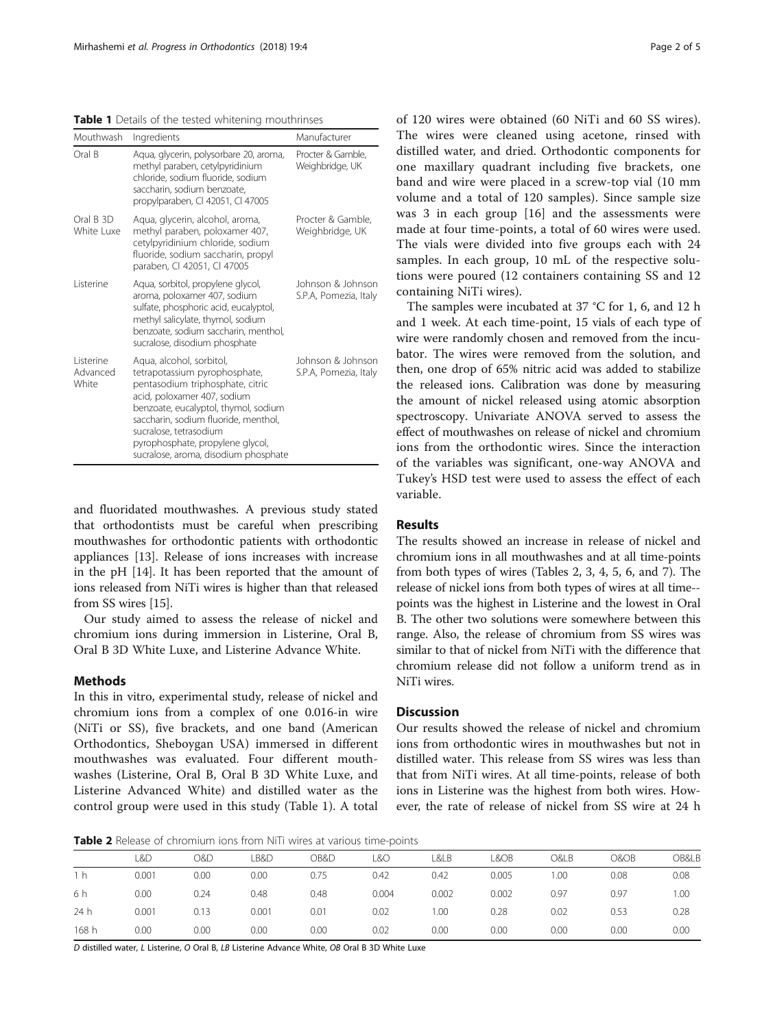Table 1 Details of the tested whitening mouthrinses

| Mouthwash                       | Ingredients                                                                                                                                                                                                                                                                                                        | Manufacturer                               |
|---------------------------------|--------------------------------------------------------------------------------------------------------------------------------------------------------------------------------------------------------------------------------------------------------------------------------------------------------------------|--------------------------------------------|
| Oral B                          | Aqua, glycerin, polysorbare 20, aroma,<br>methyl paraben, cetylpyridinium<br>chloride, sodium fluoride, sodium<br>saccharin, sodium benzoate,<br>propylparaben, CI 42051, CI 47005                                                                                                                                 | Procter & Gamble.<br>Weighbridge, UK       |
| Oral B 3D<br>White Luxe         | Aqua, glycerin, alcohol, aroma,<br>methyl paraben, poloxamer 407,<br>cetylpyridinium chloride, sodium<br>fluoride, sodium saccharin, propyl<br>paraben, CI 42051, CI 47005                                                                                                                                         | Procter & Gamble,<br>Weighbridge, UK       |
| l isterine                      | Aqua, sorbitol, propylene glycol,<br>aroma, poloxamer 407, sodium<br>sulfate, phosphoric acid, eucalyptol,<br>methyl salicylate, thymol, sodium<br>benzoate, sodium saccharin, menthol,<br>sucralose, disodium phosphate                                                                                           | Johnson & Johnson<br>S.P.A, Pomezia, Italy |
| l isterine<br>Advanced<br>White | Aqua, alcohol, sorbitol,<br>tetrapotassium pyrophosphate,<br>pentasodium triphosphate, citric<br>acid, poloxamer 407, sodium<br>benzoate, eucalyptol, thymol, sodium<br>saccharin, sodium fluoride, menthol,<br>sucralose, tetrasodium<br>pyrophosphate, propylene glycol,<br>sucralose, aroma, disodium phosphate | Johnson & Johnson<br>S.P.A, Pomezia, Italy |

and fluoridated mouthwashes. A previous study stated that orthodontists must be careful when prescribing mouthwashes for orthodontic patients with orthodontic appliances [[13](#page-4-0)]. Release of ions increases with increase in the pH [[14](#page-4-0)]. It has been reported that the amount of ions released from NiTi wires is higher than that released from SS wires [[15\]](#page-4-0).

Our study aimed to assess the release of nickel and chromium ions during immersion in Listerine, Oral B, Oral B 3D White Luxe, and Listerine Advance White.

## Methods

In this in vitro, experimental study, release of nickel and chromium ions from a complex of one 0.016-in wire (NiTi or SS), five brackets, and one band (American Orthodontics, Sheboygan USA) immersed in different mouthwashes was evaluated. Four different mouthwashes (Listerine, Oral B, Oral B 3D White Luxe, and Listerine Advanced White) and distilled water as the control group were used in this study (Table 1). A total

of 120 wires were obtained (60 NiTi and 60 SS wires). The wires were cleaned using acetone, rinsed with distilled water, and dried. Orthodontic components for one maxillary quadrant including five brackets, one band and wire were placed in a screw-top vial (10 mm volume and a total of 120 samples). Since sample size was 3 in each group [\[16](#page-4-0)] and the assessments were made at four time-points, a total of 60 wires were used. The vials were divided into five groups each with 24 samples. In each group, 10 mL of the respective solutions were poured (12 containers containing SS and 12 containing NiTi wires).

The samples were incubated at 37 °C for 1, 6, and 12 h and 1 week. At each time-point, 15 vials of each type of wire were randomly chosen and removed from the incubator. The wires were removed from the solution, and then, one drop of 65% nitric acid was added to stabilize the released ions. Calibration was done by measuring the amount of nickel released using atomic absorption spectroscopy. Univariate ANOVA served to assess the effect of mouthwashes on release of nickel and chromium ions from the orthodontic wires. Since the interaction of the variables was significant, one-way ANOVA and Tukey's HSD test were used to assess the effect of each variable.

## Results

The results showed an increase in release of nickel and chromium ions in all mouthwashes and at all time-points from both types of wires (Tables 2, [3](#page-2-0), [4](#page-2-0), [5, 6,](#page-3-0) and [7](#page-3-0)). The release of nickel ions from both types of wires at all time- points was the highest in Listerine and the lowest in Oral B. The other two solutions were somewhere between this range. Also, the release of chromium from SS wires was similar to that of nickel from NiTi with the difference that chromium release did not follow a uniform trend as in NiTi wires.

# Discussion

Our results showed the release of nickel and chromium ions from orthodontic wires in mouthwashes but not in distilled water. This release from SS wires was less than that from NiTi wires. At all time-points, release of both ions in Listerine was the highest from both wires. However, the rate of release of nickel from SS wire at 24 h

Table 2 Release of chromium ions from NiTi wires at various time-points

|       | L&D   | 0&D  | LB&D  | <b>OB&amp;D</b> | L&O   | L&LB  | L&OB  | O&LB | O&OB | OB&LB |
|-------|-------|------|-------|-----------------|-------|-------|-------|------|------|-------|
| 1 h   | 0.001 | 0.00 | 0.00  | 0.75            | 0.42  | 0.42  | 0.005 | 1.00 | 0.08 | 0.08  |
| 6 h   | 0.00  | 0.24 | 0.48  | 0.48            | 0.004 | 0.002 | 0.002 | 0.97 | 0.97 | 1.00  |
| 24 h  | 0.001 | 0.13 | 0.001 | 0.01            | 0.02  | 1.00  | 0.28  | 0.02 | 0.53 | 0.28  |
| 168 h | 0.00  | 0.00 | 0.00  | 0.00            | 0.02  | 0.00  | 0.00  | 0.00 | 0.00 | 0.00  |

D distilled water, L Listerine, O Oral B, LB Listerine Advance White, OB Oral B 3D White Luxe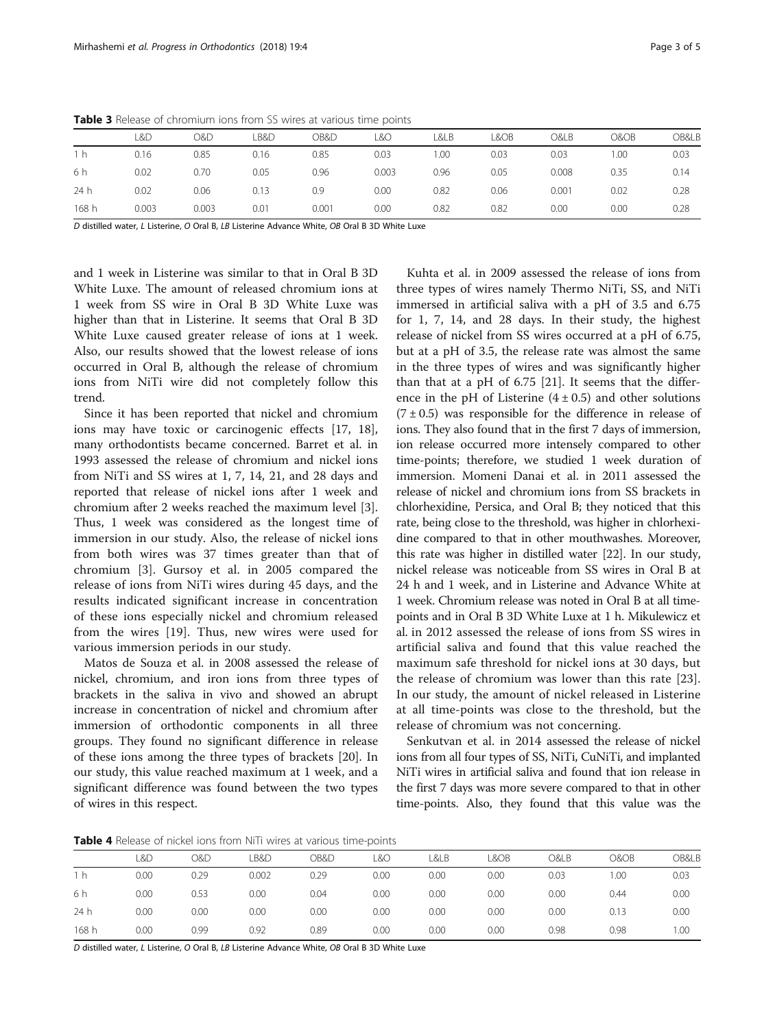|       | L&D   | O&D   | LB&D | <b>OB&amp;D</b> | L&O   | L&LB | l&OB. | O&LB  | O&OB | OB&LB |
|-------|-------|-------|------|-----------------|-------|------|-------|-------|------|-------|
| 1 h   | 0.16  | 0.85  | 0.16 | 0.85            | 0.03  | 1.00 | 0.03  | 0.03  | 00.1 | 0.03  |
| 6 h   | 0.02  | 0.70  | 0.05 | 0.96            | 0.003 | 0.96 | 0.05  | 0.008 | 0.35 | 0.14  |
| 24 h  | 0.02  | 0.06  | 0.13 | 0.9             | 0.00  | 0.82 | 0.06  | 0.001 | 0.02 | 0.28  |
| 168 h | 0.003 | 0.003 | 0.01 | 0.001           | 0.00  | 0.82 | 0.82  | 0.00  | 0.00 | 0.28  |

<span id="page-2-0"></span>Table 3 Release of chromium ions from SS wires at various time points

D distilled water, L Listerine, O Oral B, LB Listerine Advance White, OB Oral B 3D White Luxe

and 1 week in Listerine was similar to that in Oral B 3D White Luxe. The amount of released chromium ions at 1 week from SS wire in Oral B 3D White Luxe was higher than that in Listerine. It seems that Oral B 3D White Luxe caused greater release of ions at 1 week. Also, our results showed that the lowest release of ions occurred in Oral B, although the release of chromium ions from NiTi wire did not completely follow this trend.

Since it has been reported that nickel and chromium ions may have toxic or carcinogenic effects [[17, 18](#page-4-0)], many orthodontists became concerned. Barret et al. in 1993 assessed the release of chromium and nickel ions from NiTi and SS wires at 1, 7, 14, 21, and 28 days and reported that release of nickel ions after 1 week and chromium after 2 weeks reached the maximum level [\[3](#page-4-0)]. Thus, 1 week was considered as the longest time of immersion in our study. Also, the release of nickel ions from both wires was 37 times greater than that of chromium [\[3](#page-4-0)]. Gursoy et al. in 2005 compared the release of ions from NiTi wires during 45 days, and the results indicated significant increase in concentration of these ions especially nickel and chromium released from the wires [[19\]](#page-4-0). Thus, new wires were used for various immersion periods in our study.

Matos de Souza et al. in 2008 assessed the release of nickel, chromium, and iron ions from three types of brackets in the saliva in vivo and showed an abrupt increase in concentration of nickel and chromium after immersion of orthodontic components in all three groups. They found no significant difference in release of these ions among the three types of brackets [\[20\]](#page-4-0). In our study, this value reached maximum at 1 week, and a significant difference was found between the two types of wires in this respect.

Kuhta et al. in 2009 assessed the release of ions from three types of wires namely Thermo NiTi, SS, and NiTi immersed in artificial saliva with a pH of 3.5 and 6.75 for 1, 7, 14, and 28 days. In their study, the highest release of nickel from SS wires occurred at a pH of 6.75, but at a pH of 3.5, the release rate was almost the same in the three types of wires and was significantly higher than that at a pH of 6.75 [\[21\]](#page-4-0). It seems that the difference in the pH of Listerine  $(4 \pm 0.5)$  and other solutions  $(7 \pm 0.5)$  was responsible for the difference in release of ions. They also found that in the first 7 days of immersion, ion release occurred more intensely compared to other time-points; therefore, we studied 1 week duration of immersion. Momeni Danai et al. in 2011 assessed the release of nickel and chromium ions from SS brackets in chlorhexidine, Persica, and Oral B; they noticed that this rate, being close to the threshold, was higher in chlorhexidine compared to that in other mouthwashes. Moreover, this rate was higher in distilled water [\[22\]](#page-4-0). In our study, nickel release was noticeable from SS wires in Oral B at 24 h and 1 week, and in Listerine and Advance White at 1 week. Chromium release was noted in Oral B at all timepoints and in Oral B 3D White Luxe at 1 h. Mikulewicz et al. in 2012 assessed the release of ions from SS wires in artificial saliva and found that this value reached the maximum safe threshold for nickel ions at 30 days, but the release of chromium was lower than this rate [\[23](#page-4-0)]. In our study, the amount of nickel released in Listerine at all time-points was close to the threshold, but the release of chromium was not concerning.

Senkutvan et al. in 2014 assessed the release of nickel ions from all four types of SS, NiTi, CuNiTi, and implanted NiTi wires in artificial saliva and found that ion release in the first 7 days was more severe compared to that in other time-points. Also, they found that this value was the

Table 4 Release of nickel ions from NiTi wires at various time-points

|       | L&D  | O&D  | LB&D  | OB&D | L&O  | L&LB              | L&OB              | O&LB              | O&OB | OB&LB |
|-------|------|------|-------|------|------|-------------------|-------------------|-------------------|------|-------|
| 1 h   | 0.00 | 0.29 | 0.002 | 0.29 | 0.00 | 0.00              | 0.00              | 0.03              | 1.00 | 0.03  |
| 6 h   | 0.00 | 0.53 | 0.00  | 0.04 | 0.00 | 0.00              | 0.00 <sub>1</sub> | 0.00 <sub>1</sub> | 0.44 | 0.00  |
| 24 h  | 0.00 | 0.00 | 0.00  | 0.00 | 0.00 | 0.00              | 0.00              | 0.00 <sub>1</sub> | 0.13 | 0.00  |
| 168 h | 0.00 | 0.99 | 0.92  | 0.89 | 0.00 | 0.00 <sub>1</sub> | 0.00              | 0.98              | 0.98 | 1.00  |

D distilled water, L Listerine, O Oral B, LB Listerine Advance White, OB Oral B 3D White Luxe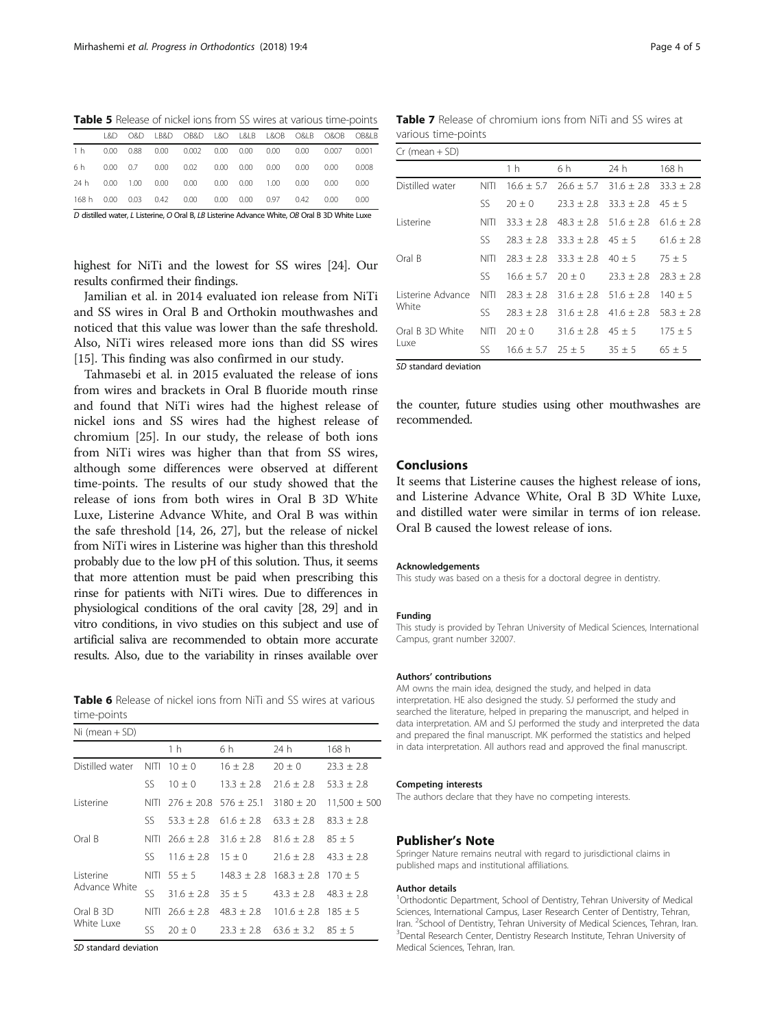<span id="page-3-0"></span>

|                                                                                               | 1 &D.    | റന   | I B&D | OB&D - | L&O      |      | L&LB L&OB | O&I B    | O&OB. | OB&L B |
|-----------------------------------------------------------------------------------------------|----------|------|-------|--------|----------|------|-----------|----------|-------|--------|
| 1 <sub>h</sub>                                                                                | $0.00 -$ | 0.88 | 0.00  | 0.002  | 0.00     | 0.00 | 0.00      | $0.00 -$ | 0.007 | 0.001  |
| 6h                                                                                            | $0.00 -$ | 0.7  | 0.00  | 0.02   | $0.00 -$ | 0.00 | 0.00      | $0.00 -$ | 0.00  | 0.008  |
| 24 h                                                                                          | $0.00 -$ | 1.00 | 0.00  | 0.00   | $0.00 -$ | 0.00 | 1.00      | $0.00 -$ | n nn  | 0.00   |
| 168 h                                                                                         | $0.00 -$ | 0.03 | 0.42  | 0.00   | 0.00     | 0.00 | 0.97      | 0.42     | 0.00  | 0.00   |
| D distilled water, L Listerine, O Oral B, LB Listerine Advance White, OB Oral B 3D White Luxe |          |      |       |        |          |      |           |          |       |        |

highest for NiTi and the lowest for SS wires [[24](#page-4-0)]. Our results confirmed their findings.

Jamilian et al. in 2014 evaluated ion release from NiTi and SS wires in Oral B and Orthokin mouthwashes and noticed that this value was lower than the safe threshold. Also, NiTi wires released more ions than did SS wires [[15\]](#page-4-0). This finding was also confirmed in our study.

Tahmasebi et al. in 2015 evaluated the release of ions from wires and brackets in Oral B fluoride mouth rinse and found that NiTi wires had the highest release of nickel ions and SS wires had the highest release of chromium [\[25\]](#page-4-0). In our study, the release of both ions from NiTi wires was higher than that from SS wires, although some differences were observed at different time-points. The results of our study showed that the release of ions from both wires in Oral B 3D White Luxe, Listerine Advance White, and Oral B was within the safe threshold [\[14](#page-4-0), [26, 27\]](#page-4-0), but the release of nickel from NiTi wires in Listerine was higher than this threshold probably due to the low pH of this solution. Thus, it seems that more attention must be paid when prescribing this rinse for patients with NiTi wires. Due to differences in physiological conditions of the oral cavity [\[28, 29](#page-4-0)] and in vitro conditions, in vivo studies on this subject and use of artificial saliva are recommended to obtain more accurate results. Also, due to the variability in rinses available over

Table 6 Release of nickel ions from NiTi and SS wires at various time-points

| Ni (mean $+$ SD) |             |                   |                           |                             |                  |
|------------------|-------------|-------------------|---------------------------|-----------------------------|------------------|
|                  |             | 1 h               | 6 h                       | 24 h                        | 168 h            |
| Distilled water  | <b>NITI</b> | $10 + 0$          | $16 \pm 2.8$              | $20 \pm 0$                  | $23.3 \pm 2.8$   |
|                  | SS.         | $10 + 0$          | $13.3 \pm 2.8$            | $21.6 + 2.8$                | $53.3 \pm 2.8$   |
| Listerine        | NITI.       |                   | $276 + 20.8$ 576 + 25.1   | $3180 \pm 20$               | $11,500 \pm 500$ |
|                  | SS.         |                   | $53.3 + 2.8$ $61.6 + 2.8$ | $63.3 + 2.8$                | $83.3 \pm 2.8$   |
| Oral B           |             | NITL $26.6 + 2.8$ | $31.6 \pm 2.8$            | $81.6 + 2.8$                | $85 + 5$         |
|                  | SS.         | $11.6 + 2.8$      | $15 \pm 0$                | $21.6 + 2.8$                | $43.3 \pm 2.8$   |
| l isterine       |             | NITL $55 + 5$     |                           | $148.3 + 2.8$ $168.3 + 2.8$ | $170 + 5$        |
| Advance White    | SS          | $31.6 \pm 2.8$    | $35 \pm 5$                | $43.3 \pm 2.8$              | $48.3 + 2.8$     |
| Oral B 3D        | NITI.       | $26.6 \pm 2.8$    | $48.3 + 2.8$              | $101.6 \pm 2.8$             | $185 + 5$        |
| White Luxe       | ß           | $20 + 0$          | $23.3 \pm 2.8$            | $63.6 + 3.2$                | $85 \pm 5$       |

SD standard deviation

Table 7 Release of chromium ions from NiTi and SS wires at various time-points

| $Cr$ (mean $+$ SD) |             |                       |              |                |                |
|--------------------|-------------|-----------------------|--------------|----------------|----------------|
|                    |             | 1 <sub>h</sub>        | 6 h          | 24 h           | 168 h          |
| Distilled water    | <b>NITI</b> | $16.6 \pm 5.7$        | $26.6 + 5.7$ | $31.6 \pm 2.8$ | $33.3 \pm 2.8$ |
|                    | SS          | $20 + 0$              | $23.3 + 2.8$ | $33.3 + 2.8$   | $45 + 5$       |
| l isterine         | <b>NITI</b> | $33.3 + 2.8$          | $48.3 + 2.8$ | $51.6 + 2.8$   | $61.6 + 2.8$   |
|                    | SS          | $78.3 + 2.8$          | $33.3 + 2.8$ | $45 + 5$       | $61.6 + 2.8$   |
| Oral B             | <b>NITI</b> | $78.3 + 2.8$          | $33.3 + 2.8$ | $40 + 5$       | $75 + 5$       |
|                    | SS          | $16.6 + 5.7$          | $20 + 0$     | $23.3 + 2.8$   | $78.3 + 7.8$   |
| Listerine Advance  | <b>NITI</b> | $28.3 + 2.8$          | $31.6 + 2.8$ | $51.6 \pm 2.8$ | $140 + 5$      |
| White              | SS          | $28.3 + 2.8$          | $31.6 + 2.8$ | $41.6 + 2.8$   | $58.3 \pm 2.8$ |
| Oral B 3D White    | <b>NITI</b> | $20 + 0$              | $31.6 + 2.8$ | $45 + 5$       | $175 + 5$      |
| Luxe               | SS          | $16.6 + 5.7$ $25 + 5$ |              | $35 \pm 5$     | $65 \pm 5$     |

SD standard deviation

the counter, future studies using other mouthwashes are recommended.

## Conclusions

It seems that Listerine causes the highest release of ions, and Listerine Advance White, Oral B 3D White Luxe, and distilled water were similar in terms of ion release. Oral B caused the lowest release of ions.

#### Acknowledgements

This study was based on a thesis for a doctoral degree in dentistry.

#### Funding

This study is provided by Tehran University of Medical Sciences, International Campus, grant number 32007.

#### Authors' contributions

AM owns the main idea, designed the study, and helped in data interpretation. HE also designed the study. SJ performed the study and searched the literature, helped in preparing the manuscript, and helped in data interpretation. AM and SJ performed the study and interpreted the data and prepared the final manuscript. MK performed the statistics and helped in data interpretation. All authors read and approved the final manuscript.

#### Competing interests

The authors declare that they have no competing interests.

#### Publisher's Note

Springer Nature remains neutral with regard to jurisdictional claims in published maps and institutional affiliations.

#### Author details

<sup>1</sup>Orthodontic Department, School of Dentistry, Tehran University of Medical Sciences, International Campus, Laser Research Center of Dentistry, Tehran, Iran. <sup>2</sup> School of Dentistry, Tehran University of Medical Sciences, Tehran, Iran.<br><sup>3</sup> Dental Besearch Center, Dentistry Besearch Institute, Tehran University of <sup>3</sup>Dental Research Center, Dentistry Research Institute, Tehran University of Medical Sciences, Tehran, Iran.